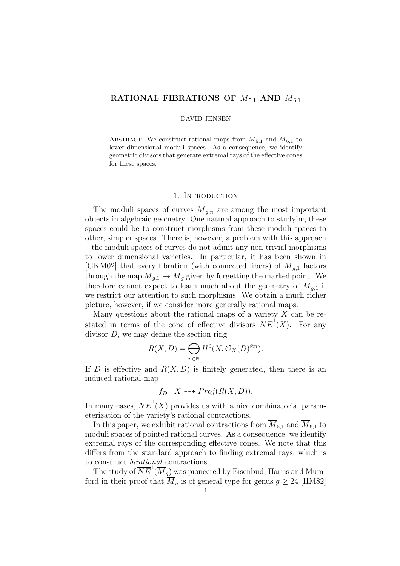# RATIONAL FIBRATIONS OF  $\overline{M}_{5,1}$  AND  $\overline{M}_{6,1}$

### DAVID JENSEN

ABSTRACT. We construct rational maps from  $\overline{M}_{5,1}$  and  $\overline{M}_{6,1}$  to lower-dimensional moduli spaces. As a consequence, we identify geometric divisors that generate extremal rays of the effective cones for these spaces.

# 1. INTRODUCTION

The moduli spaces of curves  $\overline{M}_{g,n}$  are among the most important objects in algebraic geometry. One natural approach to studying these spaces could be to construct morphisms from these moduli spaces to other, simpler spaces. There is, however, a problem with this approach – the moduli spaces of curves do not admit any non-trivial morphisms to lower dimensional varieties. In particular, it has been shown in [GKM02] that every fibration (with connected fibers) of  $M_{g,1}$  factors through the map  $\overline{M}_{q,1} \to \overline{M}_q$  given by forgetting the marked point. We therefore cannot expect to learn much about the geometry of  $\overline{M}_{q,1}$  if we restrict our attention to such morphisms. We obtain a much richer picture, however, if we consider more generally rational maps.

Many questions about the rational maps of a variety  $X$  can be restated in terms of the cone of effective divisors  $\overline{NE}^{\mathbb{I}}(X)$ . For any divisor  $D$ , we may define the section ring

$$
R(X, D) = \bigoplus_{n \in \mathbb{N}} H^{0}(X, \mathcal{O}_{X}(D)^{\otimes n}).
$$

If D is effective and  $R(X, D)$  is finitely generated, then there is an induced rational map

$$
f_D: X \dashrightarrow Proj(R(X, D)).
$$

In many cases,  $\overline{NE}^1(X)$  provides us with a nice combinatorial parameterization of the variety's rational contractions.

In this paper, we exhibit rational contractions from  $\overline{M}_{5,1}$  and  $\overline{M}_{6,1}$  to moduli spaces of pointed rational curves. As a consequence, we identify extremal rays of the corresponding effective cones. We note that this differs from the standard approach to finding extremal rays, which is to construct birational contractions.

The study of  $\overline{NE}^1(\overline{M}_g)$  was pioneered by Eisenbud, Harris and Mumford in their proof that  $\overline{M}_g$  is of general type for genus  $g \geq 24$  [HM82]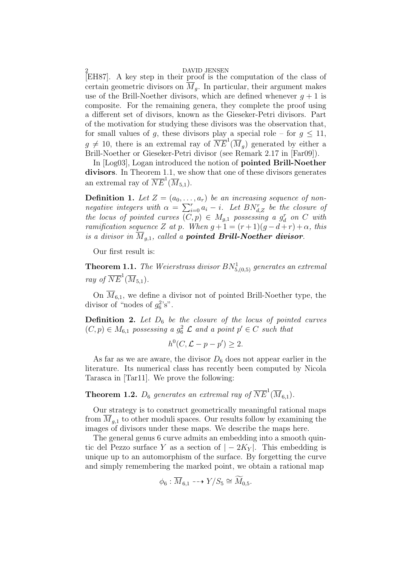[EH87]. A key step in their proof is the computation of the class of certain geometric divisors on  $\overline{M}_q$ . In particular, their argument makes use of the Brill-Noether divisors, which are defined whenever  $q + 1$  is composite. For the remaining genera, they complete the proof using a different set of divisors, known as the Gieseker-Petri divisors. Part of the motivation for studying these divisors was the observation that, for small values of g, these divisors play a special role – for  $g \leq 11$ ,  $g \neq 10$ , there is an extremal ray of  $\overline{NE}^1(\overline{M}_g)$  generated by either a Brill-Noether or Gieseker-Petri divisor (see Remark 2.17 in [Far09]).

In [Log03], Logan introduced the notion of pointed Brill-Noether divisors. In Theorem 1.1, we show that one of these divisors generates an extremal ray of  $\overline{NE}^1(\overline{M}_{5,1}).$ 

**Definition 1.** Let  $Z = (a_0, \ldots, a_r)$  be an increasing sequence of non-**Definition 1.** Let  $Z = (a_0, \ldots, a_r)$  be an increasing sequence of non-<br>negative integers with  $\alpha = \sum_{i=0}^r a_i - i$ . Let  $BN_{d,Z}^r$  be the closure of the locus of pointed curves  $(C, p) \in M_{g,1}$  possessing a  $g_d^r$  on C with ramification sequence Z at p. When  $g+1 = (r+1)(g-d+r) + \alpha$ , this is a divisor in  $\overline{M}_{q,1}$ , called a **pointed Brill-Noether divisor**.

Our first result is:

**Theorem 1.1.** The Weierstrass divisor  $BN^1_{5,(0,5)}$  generates an extremal ray of  $\overline{NE}^1(\overline{M}_{5,1})$ .

On  $\overline{M}_{6,1}$ , we define a divisor not of pointed Brill-Noether type, the divisor of "nodes of  $g_6^2$ 's".

**Definition 2.** Let  $D_6$  be the closure of the locus of pointed curves  $(C, p) \in M_{6,1}$  possessing a  $g_6^2$   $\mathcal L$  and a point  $p' \in C$  such that

$$
h^0(C, \mathcal{L} - p - p') \ge 2.
$$

As far as we are aware, the divisor  $D_6$  does not appear earlier in the literature. Its numerical class has recently been computed by Nicola Tarasca in [Tar11]. We prove the following:

# **Theorem 1.2.**  $D_6$  generates an extremal ray of  $\overline{NE}^1(\overline{M}_{6,1})$ .

Our strategy is to construct geometrically meaningful rational maps from  $M_{g,1}$  to other moduli spaces. Our results follow by examining the images of divisors under these maps. We describe the maps here.

The general genus 6 curve admits an embedding into a smooth quintic del Pezzo surface Y as a section of  $|-2K_Y|$ . This embedding is unique up to an automorphism of the surface. By forgetting the curve and simply remembering the marked point, we obtain a rational map

$$
\phi_6: \overline{M}_{6,1} \dashrightarrow Y/S_5 \cong \widetilde{M}_{0,5}.
$$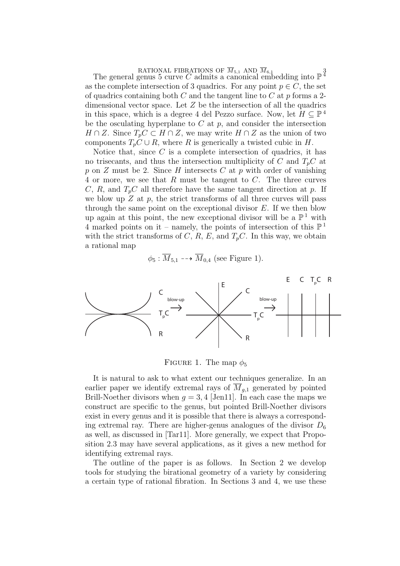RATIONAL FIBRATIONS OF  $\overline{M}_{5,1}$  AND  $\overline{M}_{6,1}$ <br>The general genus 5 curve C admits a canonical embedding into  $\mathbb{P}^{\frac{3}{4}}$ as the complete intersection of 3 quadrics. For any point  $p \in C$ , the set of quadrics containing both  $C$  and the tangent line to  $C$  at  $p$  forms a 2dimensional vector space. Let  $Z$  be the intersection of all the quadrics in this space, which is a degree 4 del Pezzo surface. Now, let  $H \subseteq \mathbb{P}^4$ be the osculating hyperplane to  $C$  at  $p$ , and consider the intersection  $H \cap Z$ . Since  $T_p C \subset H \cap Z$ , we may write  $H \cap Z$  as the union of two components  $T_pC \cup R$ , where R is generically a twisted cubic in H.

Notice that, since  $C$  is a complete intersection of quadrics, it has no trisecants, and thus the intersection multiplicity of C and  $T_pC$  at p on  $Z$  must be 2. Since  $H$  intersects  $C$  at  $p$  with order of vanishing 4 or more, we see that R must be tangent to C. The three curves C, R, and  $T_pC$  all therefore have the same tangent direction at p. If we blow up  $Z$  at  $p$ , the strict transforms of all three curves will pass through the same point on the exceptional divisor  $E$ . If we then blow up again at this point, the new exceptional divisor will be a  $\mathbb{P}^1$  with 4 marked points on it – namely, the points of intersection of this  $\mathbb{P}^1$ with the strict transforms of  $C, R, E$ , and  $T_pC$ . In this way, we obtain a rational map

$$
\phi_5 : \overline{M}_{5,1} \dashrightarrow \overline{M}_{0,4}
$$
 (see Figure 1).



FIGURE 1. The map  $\phi_5$ 

It is natural to ask to what extent our techniques generalize. In an earlier paper we identify extremal rays of  $\overline{M}_{q,1}$  generated by pointed Brill-Noether divisors when  $q = 3, 4$  [Jen11]. In each case the maps we construct are specific to the genus, but pointed Brill-Noether divisors exist in every genus and it is possible that there is always a corresponding extremal ray. There are higher-genus analogues of the divisor  $D_6$ as well, as discussed in [Tar11]. More generally, we expect that Proposition 2.3 may have several applications, as it gives a new method for identifying extremal rays.

The outline of the paper is as follows. In Section 2 we develop tools for studying the birational geometry of a variety by considering a certain type of rational fibration. In Sections 3 and 4, we use these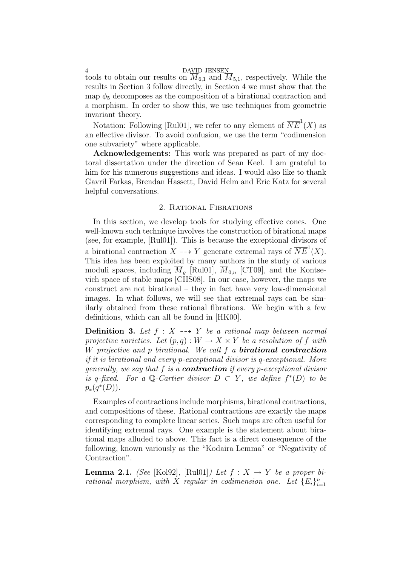tools to obtain our results on  $\overline{M}_{6,1}$  and  $\overline{M}_{5,1}$ , respectively. While the results in Section 3 follow directly, in Section 4 we must show that the map  $\phi_5$  decomposes as the composition of a birational contraction and a morphism. In order to show this, we use techniques from geometric invariant theory.

Notation: Following [Rul01], we refer to any element of  $\overline{NE}^1(X)$  as an effective divisor. To avoid confusion, we use the term "codimension one subvariety" where applicable.

Acknowledgements: This work was prepared as part of my doctoral dissertation under the direction of Sean Keel. I am grateful to him for his numerous suggestions and ideas. I would also like to thank Gavril Farkas, Brendan Hassett, David Helm and Eric Katz for several helpful conversations.

# 2. Rational Fibrations

In this section, we develop tools for studying effective cones. One well-known such technique involves the construction of birational maps (see, for example, [Rul01]). This is because the exceptional divisors of a birational contraction  $X \dashrightarrow Y$  generate extremal rays of  $\overline{NE}^1(X)$ . This idea has been exploited by many authors in the study of various moduli spaces, including  $\overline{M}_q$  [Rul01],  $\overline{M}_{0,n}$  [CT09], and the Kontsevich space of stable maps [CHS08]. In our case, however, the maps we construct are not birational – they in fact have very low-dimensional images. In what follows, we will see that extremal rays can be similarly obtained from these rational fibrations. We begin with a few definitions, which can all be found in [HK00].

**Definition 3.** Let  $f : X \dashrightarrow Y$  be a rational map between normal projective varieties. Let  $(p,q): W \to X \times Y$  be a resolution of f with W projective and  $p$  birational. We call  $f$  a **birational contraction** if it is birational and every p-exceptional divisor is q-exceptional. More generally, we say that f is a **contraction** if every p-exceptional divisor is q-fixed. For a Q-Cartier divisor  $D \subset Y$ , we define  $f^*(D)$  to be  $p_*(q^*(D)).$ 

Examples of contractions include morphisms, birational contractions, and compositions of these. Rational contractions are exactly the maps corresponding to complete linear series. Such maps are often useful for identifying extremal rays. One example is the statement about birational maps alluded to above. This fact is a direct consequence of the following, known variously as the "Kodaira Lemma" or "Negativity of Contraction".

**Lemma 2.1.** (See [Kol92], [Rul01]) Let  $f : X \rightarrow Y$  be a proper birational morphism, with X regular in codimension one. Let  ${E_i}_{i=1}^n$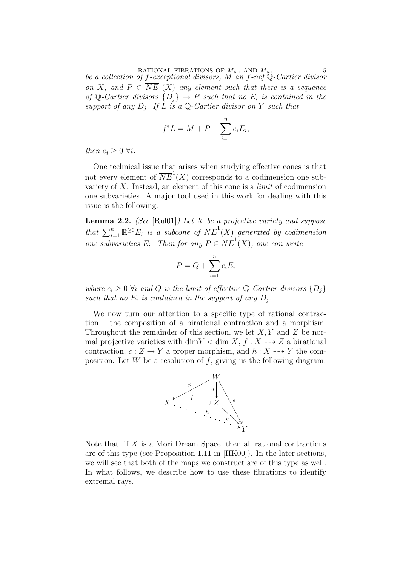RATIONAL FIBRATIONS OF  $M_{5,1}$  AND  $M_{6,1}$  5<br>be a collection of f-exceptional divisors, M an f-nef Q-Cartier divisor on X, and  $P \in \overline{NE}^1(X)$  any element such that there is a sequence of Q-Cartier divisors  $\{D_i\} \to P$  such that no  $E_i$  is contained in the support of any  $D_i$ . If L is a Q-Cartier divisor on Y such that

$$
f^*L = M + P + \sum_{i=1}^n e_i E_i,
$$

then  $e_i \geq 0 \ \forall i$ .

One technical issue that arises when studying effective cones is that not every element of  $\overline{NE}^1(X)$  corresponds to a codimension one subvariety of  $X$ . Instead, an element of this cone is a *limit* of codimension one subvarieties. A major tool used in this work for dealing with this issue is the following:

**Lemma 2.2.** (See [Rul01]) Let X be a projective variety and suppose that  $\sum_{i=1}^{n} \mathbb{R}^{\geq 0} E_i$  is a subcone of  $\overline{NE}^1(X)$  generated by codimension one subvarieties  $E_i$ . Then for any  $P \in \overline{NE}^1(X)$ , one can write

$$
P = Q + \sum_{i=1}^{n} c_i E_i
$$

where  $c_i \geq 0$   $\forall i$  and  $Q$  is the limit of effective Q-Cartier divisors  $\{D_j\}$ such that no  $E_i$  is contained in the support of any  $D_i$ .

We now turn our attention to a specific type of rational contraction – the composition of a birational contraction and a morphism. Throughout the remainder of this section, we let  $X, Y$  and  $Z$  be normal projective varieties with dim  $Y < \dim X$ ,  $f: X \dashrightarrow Z$  a birational contraction,  $c: Z \to Y$  a proper morphism, and  $h: X \dashrightarrow Y$  the composition. Let W be a resolution of  $f$ , giving us the following diagram.



Note that, if  $X$  is a Mori Dream Space, then all rational contractions are of this type (see Proposition 1.11 in [HK00]). In the later sections, we will see that both of the maps we construct are of this type as well. In what follows, we describe how to use these fibrations to identify extremal rays.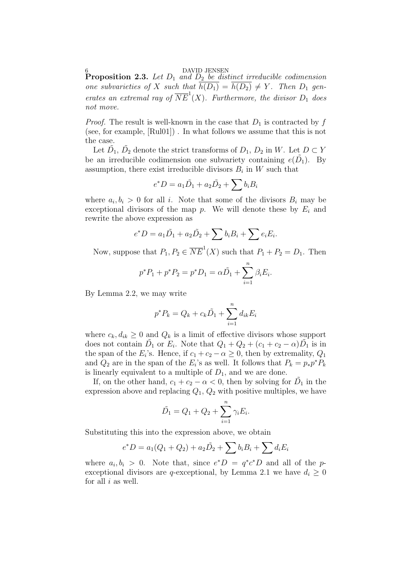**Proposition 2.3.** Let  $D_1$  and  $D_2$  be distinct irreducible codimension one subvarieties of X such that  $\overline{h(D_1)} = \overline{h(D_2)} \neq Y$ . Then  $D_1$  generates an extremal ray of  $\overline{NE}^1(X)$ . Furthermore, the divisor  $D_1$  does not move.

*Proof.* The result is well-known in the case that  $D_1$  is contracted by f (see, for example, [Rul01]) . In what follows we assume that this is not the case.

Let  $\tilde{D}_1$ ,  $\tilde{D}_2$  denote the strict transforms of  $D_1$ ,  $D_2$  in W. Let  $D \subset Y$ be an irreducible codimension one subvariety containing  $e(\tilde{D}_1)$ . By assumption, there exist irreducible divisors  $B_i$  in W such that

$$
e^*D = a_1\tilde{D_1} + a_2\tilde{D_2} + \sum b_iB_i
$$

where  $a_i, b_i > 0$  for all i. Note that some of the divisors  $B_i$  may be exceptional divisors of the map  $p$ . We will denote these by  $E_i$  and rewrite the above expression as

$$
e^*D = a_1\tilde{D}_1 + a_2\tilde{D}_2 + \sum b_iB_i + \sum e_iE_i.
$$

Now, suppose that  $P_1, P_2 \in \overline{NE}^1(X)$  such that  $P_1 + P_2 = D_1$ . Then

$$
p^*P_1 + p^*P_2 = p^*D_1 = \alpha \tilde{D}_1 + \sum_{i=1}^n \beta_i E_i.
$$

By Lemma 2.2, we may write

$$
p^* P_k = Q_k + c_k \tilde{D}_1 + \sum_{i=1}^n d_{ik} E_i
$$

where  $c_k, d_{ik} \geq 0$  and  $Q_k$  is a limit of effective divisors whose support does not contain  $\tilde{D}_1$  or  $E_i$ . Note that  $Q_1 + Q_2 + (c_1 + c_2 - \alpha)\tilde{D}_1$  is in the span of the  $E_i$ 's. Hence, if  $c_1 + c_2 - \alpha \geq 0$ , then by extremality,  $Q_1$ and  $Q_2$  are in the span of the  $E_i$ 's as well. It follows that  $P_k = p_* p^* P_k$ is linearly equivalent to a multiple of  $D_1$ , and we are done.

If, on the other hand,  $c_1 + c_2 - \alpha < 0$ , then by solving for  $\tilde{D_1}$  in the expression above and replacing  $Q_1$ ,  $Q_2$  with positive multiples, we have

$$
\tilde{D}_1 = Q_1 + Q_2 + \sum_{i=1}^n \gamma_i E_i.
$$

Substituting this into the expression above, we obtain

$$
e^*D = a_1(Q_1 + Q_2) + a_2\tilde{D}_2 + \sum b_iB_i + \sum d_iE_i
$$

where  $a_i, b_i > 0$ . Note that, since  $e^*D = q^*c^*D$  and all of the pexceptional divisors are q-exceptional, by Lemma 2.1 we have  $d_i \geq 0$ for all  $i$  as well.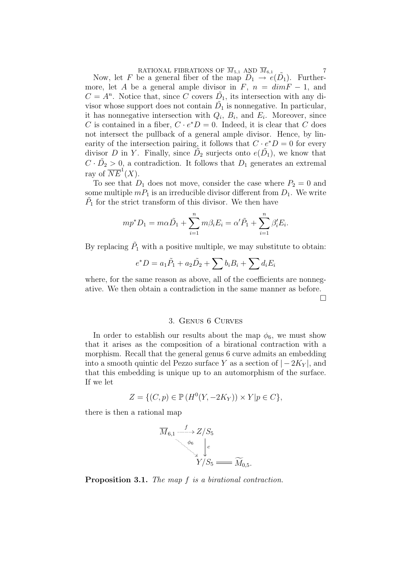RATIONAL FIBRATIONS OF  $\overline{M}_{5,1}$  AND  $\overline{M}_{6,1}$  7<br>Now, let F be a general fiber of the map  $\overline{D}_1 \rightarrow e(\overline{D}_1)$ . Furthermore, let A be a general ample divisor in F,  $n = dimF - 1$ , and  $C = A<sup>n</sup>$ . Notice that, since C covers  $\tilde{D}_1$ , its intersection with any divisor whose support does not contain  $\tilde{D}_1$  is nonnegative. In particular, it has nonnegative intersection with  $Q_i$ ,  $B_i$ , and  $E_i$ . Moreover, since C is contained in a fiber,  $C \cdot e^*D = 0$ . Indeed, it is clear that C does not intersect the pullback of a general ample divisor. Hence, by linearity of the intersection pairing, it follows that  $C \cdot e^*D = 0$  for every divisor D in Y. Finally, since  $\tilde{D}_2$  surjects onto  $e(\tilde{D}_1)$ , we know that  $C \cdot \tilde{D_2} > 0$ , a contradiction. It follows that  $D_1$  generates an extremal ray of  $\overline{NE}^1(X)$ .

To see that  $D_1$  does not move, consider the case where  $P_2 = 0$  and some multiple  $m_1$  is an irreducible divisor different from  $D_1$ . We write  $\tilde{P}_1$  for the strict transform of this divisor. We then have

$$
mp^*D_1 = m\alpha \tilde{D}_1 + \sum_{i=1}^n m\beta_i E_i = \alpha' \tilde{P}_1 + \sum_{i=1}^n \beta'_i E_i.
$$

By replacing  $\tilde{P}_1$  with a positive multiple, we may substitute to obtain:

$$
e^*D = a_1\tilde{P}_1 + a_2\tilde{D}_2 + \sum b_iB_i + \sum d_iE_i
$$

where, for the same reason as above, all of the coefficients are nonnegative. We then obtain a contradiction in the same manner as before.

¤

# 3. Genus 6 Curves

In order to establish our results about the map  $\phi_6$ , we must show that it arises as the composition of a birational contraction with a morphism. Recall that the general genus 6 curve admits an embedding into a smooth quintic del Pezzo surface Y as a section of  $|-2K_Y|$ , and that this embedding is unique up to an automorphism of the surface. If we let

$$
Z = \{ (C, p) \in \mathbb{P} \left( H^0(Y, -2K_Y) \right) \times Y | p \in C \},
$$

there is then a rational map

$$
\overline{M}_{6,1} \xrightarrow{f} Z/S_5
$$
\n
$$
\downarrow^{\phi_6} \qquad c
$$
\n
$$
Y/S_5 \longrightarrow \widetilde{M}_{0,5}.
$$

Proposition 3.1. The map f is a birational contraction.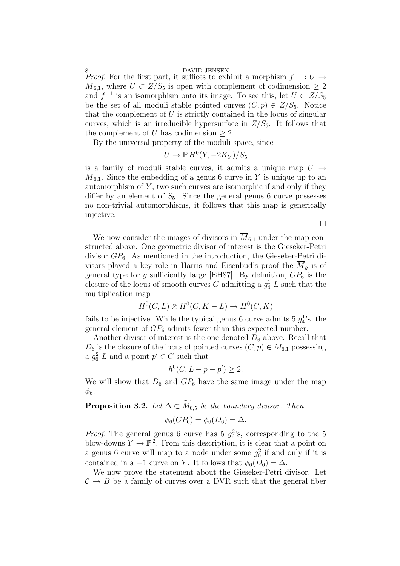8<br>*Proof.* For the first part, it suffices to exhibit a morphism  $f^{-1}: U \to$  $\overline{M}_{6,1}$ , where  $U \subset \overline{Z}/S_5$  is open with complement of codimension  $\geq 2$ and  $f^{-1}$  is an isomorphism onto its image. To see this, let  $U \subset Z/S_5$ be the set of all moduli stable pointed curves  $(C, p) \in Z/S_5$ . Notice that the complement of  $U$  is strictly contained in the locus of singular curves, which is an irreducible hypersurface in  $Z/S_5$ . It follows that the complement of U has codimension  $\geq 2$ .

By the universal property of the moduli space, since

$$
U \to \mathbb{P} H^0(Y, -2K_Y)/S_5
$$

is a family of moduli stable curves, it admits a unique map  $U \rightarrow$  $M_{6,1}$ . Since the embedding of a genus 6 curve in Y is unique up to an automorphism of  $Y$ , two such curves are isomorphic if and only if they differ by an element of  $S_5$ . Since the general genus 6 curve possesses no non-trivial automorphisms, it follows that this map is generically injective.

 $\Box$ 

We now consider the images of divisors in  $\overline{M}_{6,1}$  under the map constructed above. One geometric divisor of interest is the Gieseker-Petri divisor  $GP_6$ . As mentioned in the introduction, the Gieseker-Petri divisors played a key role in Harris and Eisenbud's proof the  $M<sub>q</sub>$  is of general type for g sufficiently large [EH87]. By definition,  $GP_6$  is the closure of the locus of smooth curves C admitting a  $g_4^1$  L such that the multiplication map

$$
H^0(C, L) \otimes H^0(C, K - L) \to H^0(C, K)
$$

fails to be injective. While the typical genus 6 curve admits 5  $g_4^1$ 's, the general element of  $GP_6$  admits fewer than this expected number.

Another divisor of interest is the one denoted  $D_6$  above. Recall that  $D_6$  is the closure of the locus of pointed curves  $(C, p) \in M_{6,1}$  possessing a  $g_6^2$  L and a point  $p' \in C$  such that

$$
h^0(C, L - p - p') \ge 2.
$$

We will show that  $D_6$  and  $GP_6$  have the same image under the map  $\phi_6$ .

# **Proposition 3.2.** Let  $\Delta \subset \widetilde{M}_{0.5}$  be the boundary divisor. Then  $\overline{\phi_6(GP_6)} = \overline{\phi_6(D_6)} = \Delta.$

*Proof.* The general genus 6 curve has 5  $g_6^2$ 's, corresponding to the 5 blow-downs  $Y \to \mathbb{P}^2$ . From this description, it is clear that a point on a genus 6 curve will map to a node under some  $g_6^2$  if and only if it is contained in a -1 curve on Y. It follows that  $\phi_6(D_6) = \Delta$ .

We now prove the statement about the Gieseker-Petri divisor. Let  $\mathcal{C} \rightarrow B$  be a family of curves over a DVR such that the general fiber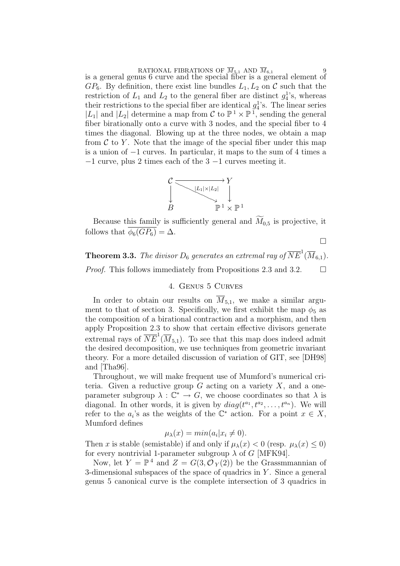RATIONAL FIBRATIONS OF  $\overline{M}_{5,1}$  AND  $\overline{M}_{6,1}$  9<br>is a general genus 6 curve and the special fiber is a general element of  $GP_6$ . By definition, there exist line bundles  $L_1, L_2$  on C such that the restriction of  $L_1$  and  $L_2$  to the general fiber are distinct  $g_4^1$ 's, whereas their restrictions to the special fiber are identical  $g_4^1$ 's. The linear series  $|L_1|$  and  $|L_2|$  determine a map from C to  $\mathbb{P}^1 \times \mathbb{P}^1$ , sending the general fiber birationally onto a curve with 3 nodes, and the special fiber to 4 times the diagonal. Blowing up at the three nodes, we obtain a map from  $\mathcal C$  to Y. Note that the image of the special fiber under this map is a union of −1 curves. In particular, it maps to the sum of 4 times a  $-1$  curve, plus 2 times each of the  $3 -1$  curves meeting it.



Because this family is sufficiently general and  $M<sub>0.5</sub>$  is projective, it follows that  $\phi_6(GP_6) = \Delta$ .

¤

**Theorem 3.3.** The divisor  $D_6$  generates an extremal ray of  $\overline{NE}^1(\overline{M}_{6,1})$ . *Proof.* This follows immediately from Propositions 2.3 and 3.2.  $\Box$ 

# 4. Genus 5 Curves

In order to obtain our results on  $\overline{M}_{5,1}$ , we make a similar argument to that of section 3. Specifically, we first exhibit the map  $\phi_5$  as the composition of a birational contraction and a morphism, and then apply Proposition 2.3 to show that certain effective divisors generate extremal rays of  $\overline{NE}^1(\overline{M}_{5,1})$ . To see that this map does indeed admit the desired decomposition, we use techniques from geometric invariant theory. For a more detailed discussion of variation of GIT, see [DH98] and [Tha96].

Throughout, we will make frequent use of Mumford's numerical criteria. Given a reductive group  $G$  acting on a variety  $X$ , and a oneparameter subgroup  $\lambda : \mathbb{C}^* \to G$ , we choose coordinates so that  $\lambda$  is diagonal. In other words, it is given by  $diag(t^{a_1}, t^{a_2}, \ldots, t^{a_n})$ . We will refer to the  $a_i$ 's as the weights of the  $\mathbb{C}^*$  action. For a point  $x \in X$ , Mumford defines

$$
\mu_{\lambda}(x) = \min(a_i | x_i \neq 0).
$$

Then x is stable (semistable) if and only if  $\mu_{\lambda}(x) < 0$  (resp.  $\mu_{\lambda}(x) \leq 0$ ) for every nontrivial 1-parameter subgroup  $\lambda$  of G [MFK94].

Now, let  $Y = \mathbb{P}^4$  and  $Z = G(3, \mathcal{O}_Y(2))$  be the Grassmmannian of 3-dimensional subspaces of the space of quadrics in  $Y$ . Since a general genus 5 canonical curve is the complete intersection of 3 quadrics in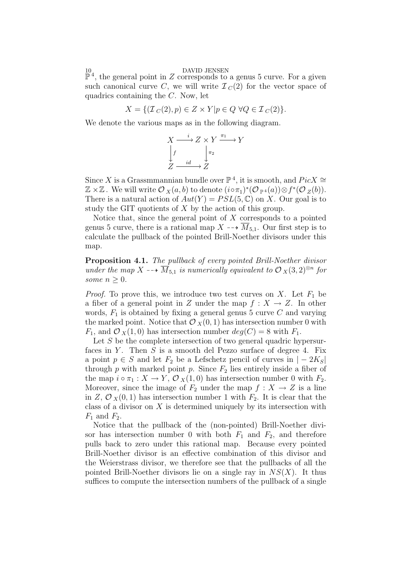10<br> $\mathbb{P}^4$ , the general point in Z corresponds to a genus 5 curve. For a given such canonical curve C, we will write  $\mathcal{I}_C(2)$  for the vector space of quadrics containing the  $C$ . Now, let

$$
X = \{ (\mathcal{I}_C(2), p) \in Z \times Y | p \in Q \,\,\forall Q \in \mathcal{I}_C(2) \}.
$$

We denote the various maps as in the following diagram.

$$
X \xrightarrow{i} Z \times Y \xrightarrow{\pi_1} Y
$$
  
\n
$$
\downarrow f \qquad \qquad \downarrow \pi_2
$$
  
\n
$$
Z \xrightarrow{id} Z
$$

Since X is a Grassmmannian bundle over  $\mathbb{P}^4$ , it is smooth, and  $Pic X \cong$  $\mathbb{Z} \times \mathbb{Z}$ . We will write  $\mathcal{O}_X(a, b)$  to denote  $(i \circ \pi_1)^*(\mathcal{O}_{\mathbb{P}^4}(a)) \otimes f^*(\mathcal{O}_Z(b)).$ There is a natural action of  $Aut(Y) = PSL(5, \mathbb{C})$  on X. Our goal is to study the GIT quotients of X by the action of this group.

Notice that, since the general point of  $X$  corresponds to a pointed genus 5 curve, there is a rational map  $X \dashrightarrow \overline{M}_{5,1}$ . Our first step is to calculate the pullback of the pointed Brill-Noether divisors under this map.

Proposition 4.1. The pullback of every pointed Brill-Noether divisor under the map X  $\overline{M}_{5,1}$  is numerically equivalent to  $\mathcal{O}_X(3, 2)^{\otimes n}$  for some  $n \geq 0$ .

*Proof.* To prove this, we introduce two test curves on X. Let  $F_1$  be a fiber of a general point in Z under the map  $f: X \to Z$ . In other words,  $F_1$  is obtained by fixing a general genus 5 curve C and varying the marked point. Notice that  $\mathcal{O}_X(0, 1)$  has intersection number 0 with  $F_1$ , and  $\mathcal{O}_X(1,0)$  has intersection number  $deg(C) = 8$  with  $F_1$ .

Let  $S$  be the complete intersection of two general quadric hypersurfaces in Y. Then  $S$  is a smooth del Pezzo surface of degree 4. Fix a point  $p \in S$  and let  $F_2$  be a Lefschetz pencil of curves in  $|-2K_S|$ through  $p$  with marked point  $p$ . Since  $F_2$  lies entirely inside a fiber of the map  $i \circ \pi_1 : X \to Y$ ,  $\mathcal{O}_X(1,0)$  has intersection number 0 with  $F_2$ . Moreover, since the image of  $F_2$  under the map  $f : X \to Z$  is a line in Z,  $\mathcal{O}_X(0,1)$  has intersection number 1 with  $F_2$ . It is clear that the class of a divisor on  $X$  is determined uniquely by its intersection with  $F_1$  and  $F_2$ .

Notice that the pullback of the (non-pointed) Brill-Noether divisor has intersection number 0 with both  $F_1$  and  $F_2$ , and therefore pulls back to zero under this rational map. Because every pointed Brill-Noether divisor is an effective combination of this divisor and the Weierstrass divisor, we therefore see that the pullbacks of all the pointed Brill-Noether divisors lie on a single ray in  $NS(X)$ . It thus suffices to compute the intersection numbers of the pullback of a single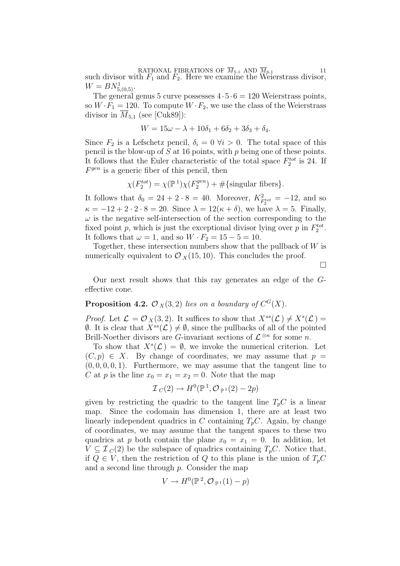RATIONAL FIBRATIONS OF  $\overline{M}_{5,1}$  AND  $\overline{M}_{6,1}$  and  $\overline{F}_1$  and  $\overline{F}_2$ . Here we examine the Weierstrass divisor,  $W = BN_{5,(0,5)}^1$ .

The general genus 5 curve possesses  $4 \cdot 5 \cdot 6 = 120$  Weierstrass points, so  $W \cdot F_1 = 120$ . To compute  $W \cdot F_2$ , we use the class of the Weierstrass divisor in  $M_{5,1}$  (see [Cuk89]):

$$
W = 15\omega - \lambda + 10\delta_1 + 6\delta_2 + 3\delta_3 + \delta_4.
$$

Since  $F_2$  is a Lefschetz pencil,  $\delta_i = 0 \ \forall i > 0$ . The total space of this pencil is the blow-up of  $S$  at 16 points, with  $p$  being one of these points. It follows that the Euler characteristic of the total space  $F_2^{tot}$  is 24. If  $F<sup>gen</sup>$  is a generic fiber of this pencil, then

$$
\chi(F_2^{tot}) = \chi(\mathbb{P}^1)\chi(F_2^{gen}) + \#\{\text{singular fibers}\}.
$$

It follows that  $\delta_0 = 24 + 2 \cdot 8 = 40$ . Moreover,  $K^2_{F_2^{tot}} = -12$ , and so  $\kappa = -12 + 2 \cdot 2 \cdot 8 = 20$ . Since  $\lambda = 12(\kappa + \delta)$ , we have  $\lambda = 5$ . Finally,  $\omega$  is the negative self-intersection of the section corresponding to the fixed point p, which is just the exceptional divisor lying over p in  $F_2^{tot}$ . It follows that  $\omega = 1$ , and so  $W \cdot F_2 = 15 - 5 = 10$ .

Together, these intersection numbers show that the pullback of  $W$  is numerically equivalent to  $\mathcal{O}_X(15, 10)$ . This concludes the proof.

 $\Box$ 

Our next result shows that this ray generates an edge of the Geffective cone.

# **Proposition 4.2.**  $\mathcal{O}_X(3,2)$  lies on a boundary of  $C^G(X)$ .

*Proof.* Let  $\mathcal{L} = \mathcal{O}_X(3, 2)$ . It suffices to show that  $X^{ss}(\mathcal{L}) \neq X^{s}(\mathcal{L}) =$  $\emptyset$ . It is clear that  $X^{ss}(\mathcal{L}) \neq \emptyset$ , since the pullbacks of all of the pointed Brill-Noether divisors are G-invariant sections of  $\mathcal{L}^{\otimes n}$  for some n.

To show that  $X^s(\mathcal{L}) = \emptyset$ , we invoke the numerical criterion. Let  $(C, p) \in X$ . By change of coordinates, we may assume that  $p =$  $(0, 0, 0, 0, 1)$ . Furthermore, we may assume that the tangent line to C at p is the line  $x_0 = x_1 = x_2 = 0$ . Note that the map

$$
\mathcal{I}_C(2) \to H^0(\mathbb{P}^1, \mathcal{O}_{\mathbb{P}^1}(2) - 2p)
$$

given by restricting the quadric to the tangent line  $T_pC$  is a linear map. Since the codomain has dimension 1, there are at least two linearly independent quadrics in C containing  $T_pC$ . Again, by change of coordinates, we may assume that the tangent spaces to these two quadrics at p both contain the plane  $x_0 = x_1 = 0$ . In addition, let  $V \subseteq I_C(2)$  be the subspace of quadrics containing  $T_pC$ . Notice that, if  $Q \in V$ , then the restriction of Q to this plane is the union of  $T_pC$ and a second line through p. Consider the map

$$
V \to H^0(\mathbb{P}^2, \mathcal{O}_{\mathbb{P}^1}(1) - p)
$$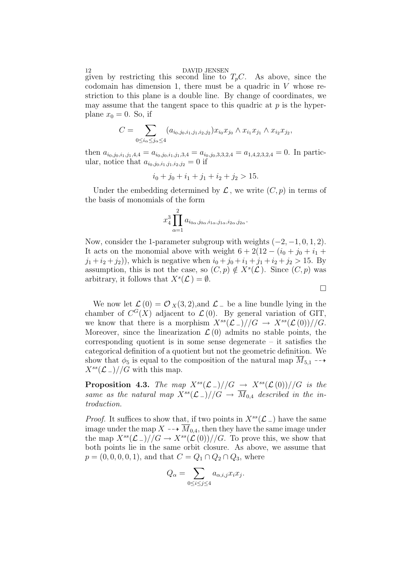given by restricting this second line to  $T_pC$ . As above, since the codomain has dimension 1, there must be a quadric in  $V$  whose restriction to this plane is a double line. By change of coordinates, we may assume that the tangent space to this quadric at  $p$  is the hyperplane  $x_0 = 0$ . So, if

$$
C = \sum_{0 \le i_{\alpha} \le j_{\alpha} \le 4} (a_{i_0,j_0,i_1,j_1,i_2,j_2}) x_{i_0} x_{j_0} \wedge x_{i_1} x_{j_1} \wedge x_{i_2} x_{j_2},
$$

then  $a_{i_0,j_0,i_1,j_1,4,4} = a_{i_0,j_0,i_1,j_1,3,4} = a_{i_0,j_0,3,3,2,4} = a_{1,4,2,3,2,4} = 0$ . In particular, notice that  $a_{i_0,j_0,i_1,j_1,i_2,j_2} = 0$  if

$$
i_0 + j_0 + i_1 + j_1 + i_2 + j_2 > 15.
$$

Under the embedding determined by  $\mathcal L$ , we write  $(C, p)$  in terms of the basis of monomials of the form

$$
x_4^3 \prod_{\alpha=1}^2 a_{i_{0\alpha},j_{0\alpha},i_{1\alpha},j_{1\alpha},i_{2\alpha},j_{2\alpha}}.
$$

Now, consider the 1-parameter subgroup with weights  $(-2, -1, 0, 1, 2)$ . It acts on the monomial above with weight  $6 + 2(12 - (i_0 + j_0 + i_1 +$  $(j_1 + i_2 + j_2)$ , which is negative when  $i_0 + j_0 + i_1 + j_1 + i_2 + j_2 > 15$ . By assumption, this is not the case, so  $(C, p) \notin X<sup>s</sup>(\mathcal{L})$ . Since  $(C, p)$  was arbitrary, it follows that  $X^s(\mathcal{L}) = \emptyset$ .

 $\Box$ 

We now let  $\mathcal{L}(0) = \mathcal{O}_X(3, 2)$ , and  $\mathcal{L}_-$  be a line bundle lying in the chamber of  $C^{G}(X)$  adjacent to  $\mathcal{L}(0)$ . By general variation of GIT, we know that there is a morphism  $X^{ss}(\mathcal{L}_-)//G \to X^{ss}(\mathcal{L}_-)//G$ . Moreover, since the linearization  $\mathcal{L}(0)$  admits no stable points, the corresponding quotient is in some sense degenerate – it satisfies the categorical definition of a quotient but not the geometric definition. We show that  $\phi_5$  is equal to the composition of the natural map  $M_{5,1} \rightarrow$  $X^{ss}(\mathcal{L}_-)$ //G with this map.

**Proposition 4.3.** The map  $X^{ss}(\mathcal{L}_-)/\mathcal{G} \rightarrow X^{ss}(\mathcal{L}_-)/\mathcal{G}$  is the same as the natural map  $\overline{X}^{ss}(\mathcal{L}_-)/\overline{G} \to \overline{M}_{0,4}$  described in the introduction.

*Proof.* It suffices to show that, if two points in  $X^{ss}(\mathcal{L}_-)$  have the same image under the map  $X \dashrightarrow \overline{M}_{0,4}$ , then they have the same image under the map  $X^{ss}(\mathcal{L}_-)/\mathcal{G} \to X^{ss}(\mathcal{L}_-)/\mathcal{G}$ . To prove this, we show that both points lie in the same orbit closure. As above, we assume that  $p = (0, 0, 0, 0, 1)$ , and that  $C = Q_1 \cap Q_2 \cap Q_3$ , where

$$
Q_{\alpha} = \sum_{0 \le i \le j \le 4} a_{\alpha,i,j} x_i x_j.
$$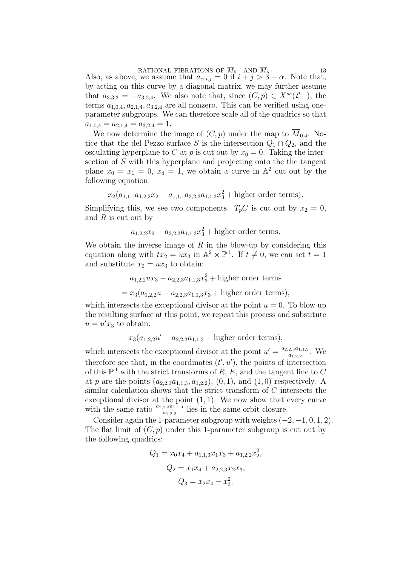RATIONAL FIBRATIONS OF  $\overline{M}_{5,1}$  AND  $\overline{M}_{6,1}$  13<br>Also, as above, we assume that  $a_{\alpha,i,j} = 0$  if  $i + j > 3 + \alpha$ . Note that, by acting on this curve by a diagonal matrix, we may further assume that  $a_{3,3,3} = -a_{3,2,4}$ . We also note that, since  $(C, p) \in X^{ss}(\mathcal{L}_-)$ , the terms  $a_{1,0,4}, a_{2,1,4}, a_{3,2,4}$  are all nonzero. This can be verified using oneparameter subgroups. We can therefore scale all of the quadrics so that  $a_{1,0,4} = a_{2,1,4} = a_{3,2,4} = 1.$ 

We now determine the image of  $(C, p)$  under the map to  $\overline{M}_{0.4}$ . Notice that the del Pezzo surface S is the intersection  $Q_1 \cap Q_2$ , and the osculating hyperplane to C at p is cut out by  $x_0 = 0$ . Taking the intersection of S with this hyperplane and projecting onto the the tangent plane  $x_0 = x_1 = 0, x_4 = 1$ , we obtain a curve in  $\mathbb{A}^2$  cut out by the following equation:

$$
x_2(a_{1,1,1}a_{1,2,2}x_2 - a_{1,1,1}a_{2,2,3}a_{1,1,3}x_3^2 +
$$
higher order terms).

Simplifying this, we see two components.  $T_pC$  is cut out by  $x_2 = 0$ , and  $R$  is cut out by

$$
a_{1,2,2}x_2 - a_{2,2,3}a_{1,1,3}x_3^2
$$
 + higher order terms.

We obtain the inverse image of  $R$  in the blow-up by considering this equation along with  $tx_2 = ux_3$  in  $\mathbb{A}^2 \times \mathbb{P}^1$ . If  $t \neq 0$ , we can set  $t = 1$ and substitute  $x_2 = ux_3$  to obtain:

$$
a_{1,2,2}ux_3 - a_{2,2,3}a_{1,1,3}x_3^2 +
$$
higher order terms

$$
= x_3(a_{1,2,2}u - a_{2,2,3}a_{1,1,3}x_3 + \text{higher order terms}),
$$

which intersects the exceptional divisor at the point  $u = 0$ . To blow up the resulting surface at this point, we repeat this process and substitute  $u = u'x_3$  to obtain:

$$
x_3(a_{1,2,2}u' - a_{2,2,3}a_{1,1,3} +
$$
higher order terms),

which intersects the exceptional divisor at the point  $u' = \frac{a_{2,2,3}a_{1,1,3}}{a_{1,2,3}}$  $\frac{2,3a_{1,1,3}}{a_{1,2,2}}$ . We therefore see that, in the coordinates  $(t', u')$ , the points of intersection of this  $\mathbb{P}^1$  with the strict transforms of R, E, and the tangent line to C at p are the points  $(a_{2,2,3}a_{1,1,3}, a_{1,2,2}), (0,1),$  and  $(1,0)$  respectively. A similar calculation shows that the strict transform of C intersects the exceptional divisor at the point  $(1, 1)$ . We now show that every curve with the same ratio  $\frac{a_{2,2,3}a_{1,1,3}}{a_{1,2,2}}$  lies in the same orbit closure.

Consider again the 1-parameter subgroup with weights  $(-2, -1, 0, 1, 2)$ . The flat limit of  $(C, p)$  under this 1-parameter subgroup is cut out by the following quadrics:

$$
Q_1 = x_0 x_4 + a_{1,1,3} x_1 x_3 + a_{1,2,2} x_2^2,
$$
  
\n
$$
Q_2 = x_1 x_4 + a_{2,2,3} x_2 x_3,
$$
  
\n
$$
Q_3 = x_2 x_4 - x_3^2.
$$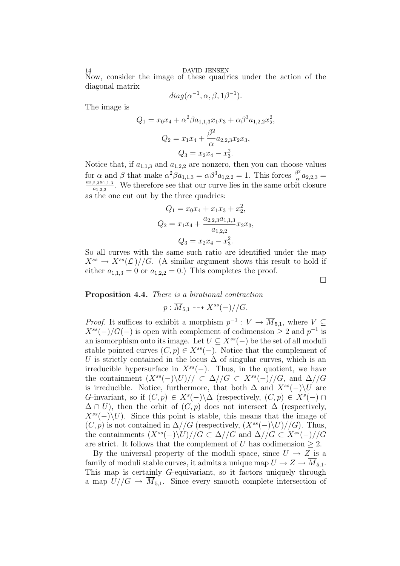Now, consider the image of these quadrics under the action of the diagonal matrix

$$
diag(\alpha^{-1}, \alpha, \beta, 1\beta^{-1}).
$$

The image is

$$
Q_1 = x_0 x_4 + \alpha^2 \beta a_{1,1,3} x_1 x_3 + \alpha \beta^3 a_{1,2,2} x_2^2,
$$
  

$$
Q_2 = x_1 x_4 + \frac{\beta^2}{\alpha} a_{2,2,3} x_2 x_3,
$$
  

$$
Q_3 = x_2 x_4 - x_3^2.
$$

Notice that, if  $a_{1,1,3}$  and  $a_{1,2,2}$  are nonzero, then you can choose values for  $\alpha$  and  $\beta$  that make  $\alpha^2 \beta a_{1,1,3} = \alpha \beta^3 a_{1,2,2} = 1$ . This forces  $\frac{\beta^2}{\alpha}$ for  $\alpha$  and  $\beta$  that make  $\alpha^2 \beta a_{1,1,3} = \alpha \beta^3 a_{1,2,2} = 1$ . This forces  $\frac{\beta^2}{\alpha} a_{2,2,3} = a_{2,2,3} a_{1,1,3}$ . We therefore see that our surve lies in the same orbit electrons  $\frac{2,3a_{1,1,3}}{a_{1,2,2}}$ . We therefore see that our curve lies in the same orbit closure as the one cut out by the three quadrics:

$$
Q_1 = x_0 x_4 + x_1 x_3 + x_2^2,
$$
  
\n
$$
Q_2 = x_1 x_4 + \frac{a_{2,2,3} a_{1,1,3}}{a_{1,2,2}} x_2 x_3,
$$
  
\n
$$
Q_3 = x_2 x_4 - x_3^2.
$$

So all curves with the same such ratio are identified under the map  $X^{ss} \to X^{ss}(\mathcal{L})//G.$  (A similar argument shows this result to hold if either  $a_{1,1,3} = 0$  or  $a_{1,2,2} = 0$ .) This completes the proof.

 $\Box$ 

# Proposition 4.4. There is a birational contraction

 $p: \overline{M}_{5,1} \dashrightarrow X^{ss}(-)//G.$ 

*Proof.* It suffices to exhibit a morphism  $p^{-1}: V \to \overline{M}_{5,1}$ , where  $V \subseteq$  $X^{ss}(-)/G(-)$  is open with complement of codimension  $\geq 2$  and  $p^{-1}$  is an isomorphism onto its image. Let  $U \subseteq X^{ss}(-)$  be the set of all moduli stable pointed curves  $(C, p) \in X^{ss}(-)$ . Notice that the complement of U is strictly contained in the locus  $\Delta$  of singular curves, which is an irreducible hypersurface in  $X^{ss}(-)$ . Thus, in the quotient, we have the containment  $(X^{ss}(-)\U)$ // ⊂  $\Delta//G \subset X^{ss}(-)//G$ , and  $\Delta//G$ is irreducible. Notice, furthermore, that both  $\Delta$  and  $X^{ss}(-)\Upsilon$  are G-invariant, so if  $(C, p) \in X<sup>s</sup>(-) \Delta$  (respectively,  $(C, p) \in X<sup>s</sup>(-) \cap$  $\Delta \cap U$ ), then the orbit of  $(C, p)$  does not intersect  $\Delta$  (respectively,  $X^{ss}(-)\backslash U$ . Since this point is stable, this means that the image of  $(C, p)$  is not contained in  $\Delta //G$  (respectively,  $(X^{ss}(-)\U) //G$ ). Thus, the containments  $(X^{ss}(-)\U)/G \subset \Delta//G$  and  $\Delta//G \subset X^{ss}(-)/G$ are strict. It follows that the complement of U has codimension  $\geq 2$ .

By the universal property of the moduli space, since  $U \rightarrow Z$  is a family of moduli stable curves, it admits a unique map  $U \to Z \to \overline{M}_{5,1}$ . This map is certainly G-equivariant, so it factors uniquely through a map  $U//G \to \overline{M}_{5,1}$ . Since every smooth complete intersection of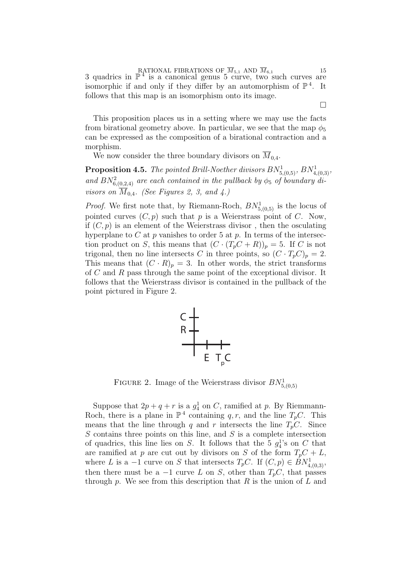RATIONAL FIBRATIONS OF  $\overline{M}_{5,1}$  AND  $\overline{M}_{6,1}$  15<br>3 quadrics in  $\mathbb{P}^4$  is a canonical genus 5 curve, two such curves are isomorphic if and only if they differ by an automorphism of  $\mathbb{P}^4$ . It follows that this map is an isomorphism onto its image.

This proposition places us in a setting where we may use the facts from birational geometry above. In particular, we see that the map  $\phi_5$ can be expressed as the composition of a birational contraction and a morphism.

We now consider the three boundary divisors on  $\overline{M}_{0,4}$ .

**Proposition 4.5.** The pointed Brill-Noether divisors  $BN^1_{5,(0,5)}$ ,  $BN^1_{4,(0,3)}$ , and  $BN_{6,(0,2,4)}^2$  are each contained in the pullback by  $\phi_5$  of boundary divisors on  $\overline{M}_{0,4}$ . (See Figures 2, 3, and 4.)

*Proof.* We first note that, by Riemann-Roch,  $BN^1_{5,(0,5)}$  is the locus of pointed curves  $(C, p)$  such that p is a Weierstrass point of C. Now, if  $(C, p)$  is an element of the Weierstrass divisor, then the osculating hyperplane to C at p vanishes to order 5 at p. In terms of the intersection product on S, this means that  $(C \cdot (T_p C + R))_p = 5$ . If C is not trigonal, then no line intersects C in three points, so  $(C \cdot T_p C)_p = 2$ . This means that  $(C \cdot R)_p = 3$ . In other words, the strict transforms of C and R pass through the same point of the exceptional divisor. It follows that the Weierstrass divisor is contained in the pullback of the point pictured in Figure 2.



FIGURE 2. Image of the Weierstrass divisor  $BN^1_{5,(0,5)}$ 

Suppose that  $2p + q + r$  is a  $g_4^1$  on C, ramified at p. By Riemmann-Roch, there is a plane in  $\mathbb{P}^4$  containing q, r, and the line  $T_pC$ . This means that the line through q and r intersects the line  $T_pC$ . Since  $S$  contains three points on this line, and  $S$  is a complete intersection of quadrics, this line lies on S. It follows that the 5  $g_4^1$ 's on C that are ramified at p are cut out by divisors on S of the form  $T_pC + L$ , where L is a -1 curve on S that intersects  $T_pC$ . If  $(C, p) \in BN^1_{4,(0,3)}$ , then there must be a  $-1$  curve L on S, other than  $T_pC$ , that passes through p. We see from this description that  $R$  is the union of  $L$  and

¤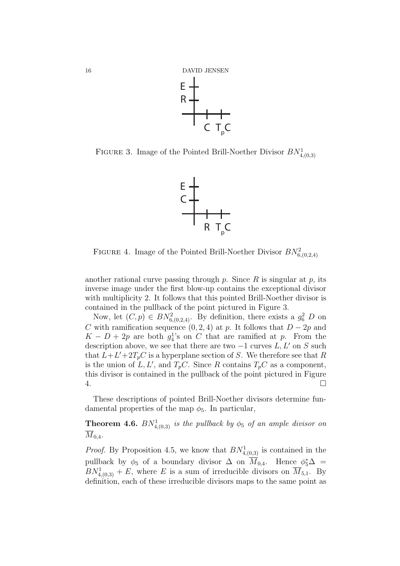

FIGURE 3. Image of the Pointed Brill-Noether Divisor  $BN^1_{4,(0,3)}$ 



FIGURE 4. Image of the Pointed Brill-Noether Divisor  $BN^2_{6(0,2,4)}$ 

another rational curve passing through p. Since  $R$  is singular at p, its inverse image under the first blow-up contains the exceptional divisor with multiplicity 2. It follows that this pointed Brill-Noether divisor is contained in the pullback of the point pictured in Figure 3.

Now, let  $(C, p) \in BN_{6,(0,2,4)}^2$ . By definition, there exists a  $g_6^2$  D on C with ramification sequence  $(0, 2, 4)$  at p. It follows that  $D - 2p$  and  $K - D + 2p$  are both  $g_4^1$ 's on C that are ramified at p. From the description above, we see that there are two  $-1$  curves  $L, L'$  on S such that  $L + L' + 2T_pC$  is a hyperplane section of S. We therefore see that R is the union of L, L', and  $T_pC$ . Since R contains  $T_pC$  as a component, this divisor is contained in the pullback of the point pictured in Figure  $4.$ 

These descriptions of pointed Brill-Noether divisors determine fundamental properties of the map  $\phi_5$ . In particular,

**Theorem 4.6.**  $BN_{4,(0,3)}^1$  is the pullback by  $\phi_5$  of an ample divisor on  $\overline{M}_{0,4}$ .

*Proof.* By Proposition 4.5, we know that  $BN_{4,(0,3)}^1$  is contained in the pullback by  $\phi_5$  of a boundary divisor  $\Delta$  on  $\overline{M}_{0,4}$ . Hence  $\phi_5^*\Delta =$  $BN_{4,(0,3)}^1 + E$ , where E is a sum of irreducible divisors on  $\overline{M}_{5,1}$ . By definition, each of these irreducible divisors maps to the same point as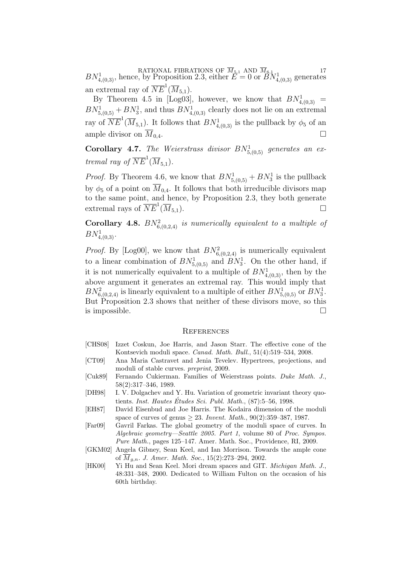RATIONAL FIBRATIONS OF  $\overline{M}_{5,1}$  AND  $\overline{M}_{6,1}$  17<br>  $BN_{4,(0,3)}^1$ , hence, by Proposition 2.3, either  $E = 0$  or  $BN_{4,(0,3)}^1$  generates an extremal ray of  $\overline{NE}^1(\overline{M}_{5,1}).$ 

By Theorem 4.5 in [Log03], however, we know that  $BN^1_{4,(0,3)}$  =  $BN^1_{5,(0,5)} + BN^1_3$ , and thus  $BN^1_{4,(0,3)}$  clearly does not lie on an extremal ray of  $\overline{NE}^1(\overline{M}_{5,1})$ . It follows that  $BN_{4,(0,3)}^1$  is the pullback by  $\phi_5$  of an ample divisor on  $\overline{M}_{0,4}$ .

**Corollary 4.7.** The Weierstrass divisor  $BN^1_{5,(0,5)}$  generates an extremal ray of  $\overline{NE}^1(\overline{M}_{5,1})$ .

*Proof.* By Theorem 4.6, we know that  $BN^1_{5,(0,5)} + BN^1_3$  is the pullback by  $\phi_5$  of a point on  $\overline{M}_{0,4}$ . It follows that both irreducible divisors map to the same point, and hence, by Proposition 2.3, they both generate extremal rays of  $\overline{NE}^1(\overline{M}_{5,1})$ .

**Corollary 4.8.**  $BN_{6,(0,2,4)}^2$  is numerically equivalent to a multiple of  $BN^1_{4,(0,3)}$ .

*Proof.* By [Log00], we know that  $BN_{6,(0,2,4)}^2$  is numerically equivalent to a linear combination of  $BN^1_{5,(0,5)}$  and  $BN^1_3$ . On the other hand, if it is not numerically equivalent to a multiple of  $BN^1_{4,(0,3)}$ , then by the above argument it generates an extremal ray. This would imply that  $BN_{6,(0,2,4)}^2$  is linearly equivalent to a multiple of either  $BN_{5,(0,5)}^1$  or  $BN_3^1$ . But Proposition 2.3 shows that neither of these divisors move, so this is impossible.  $\Box$ 

## **REFERENCES**

- [CHS08] Izzet Coskun, Joe Harris, and Jason Starr. The effective cone of the Kontsevich moduli space. Canad. Math. Bull., 51(4):519–534, 2008.
- [CT09] Ana Maria Castravet and Jenia Tevelev. Hypertrees, projections, and moduli of stable curves. preprint, 2009.
- [Cuk89] Fernando Cukierman. Families of Weierstrass points. Duke Math. J., 58(2):317–346, 1989.
- [DH98] I. V. Dolgachev and Y. Hu. Variation of geometric invariant theory quotients. Inst. Hautes Études Sci. Publ. Math.,  $(87):5-56$ , 1998.
- [EH87] David Eisenbud and Joe Harris. The Kodaira dimension of the moduli space of curves of genus  $\geq 23$ . Invent. Math., 90(2):359–387, 1987.
- [Far09] Gavril Farkas. The global geometry of the moduli space of curves. In Algebraic geometry—Seattle 2005. Part 1, volume 80 of Proc. Sympos. Pure Math., pages 125–147. Amer. Math. Soc., Providence, RI, 2009.
- [GKM02] Angela Gibney, Sean Keel, and Ian Morrison. Towards the ample cone of  $\overline{M}_{a,n}$ . J. Amer. Math. Soc., 15(2):273-294, 2002.
- [HK00] Yi Hu and Sean Keel. Mori dream spaces and GIT. Michigan Math. J., 48:331–348, 2000. Dedicated to William Fulton on the occasion of his 60th birthday.